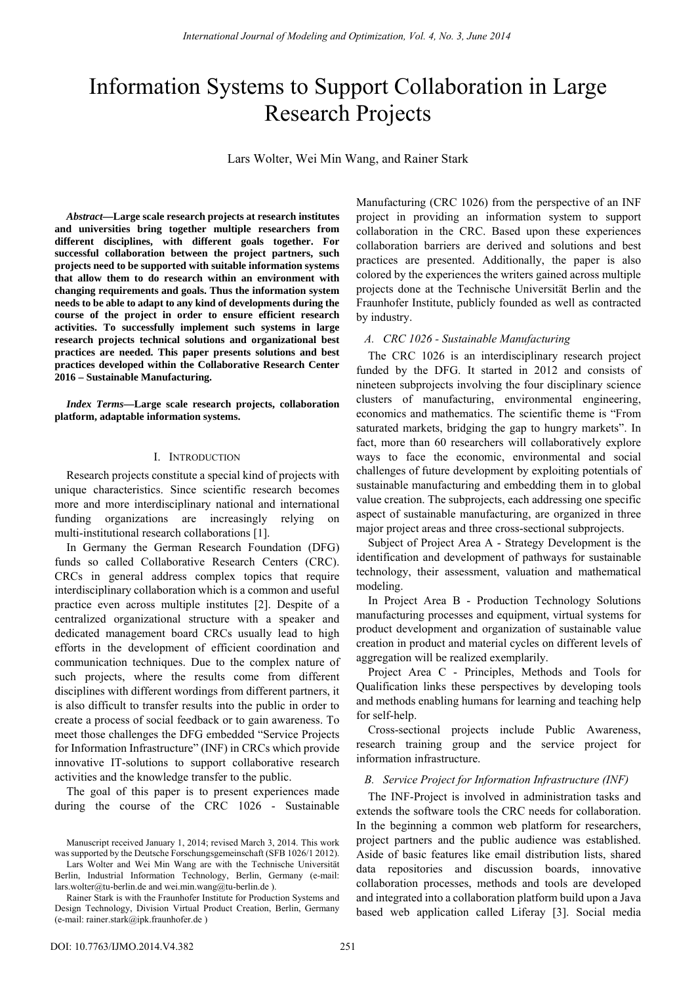# Information Systems to Support Collaboration in Large Research Projects

Lars Wolter, Wei Min Wang, and Rainer Stark

*Abstract***—Large scale research projects at research institutes and universities bring together multiple researchers from different disciplines, with different goals together. For successful collaboration between the project partners, such projects need to be supported with suitable information systems that allow them to do research within an environment with changing requirements and goals. Thus the information system needs to be able to adapt to any kind of developments during the course of the project in order to ensure efficient research activities. To successfully implement such systems in large research projects technical solutions and organizational best practices are needed. This paper presents solutions and best practices developed within the Collaborative Research Center 2016 – Sustainable Manufacturing.** 

*Index Terms***—Large scale research projects, collaboration platform, adaptable information systems.** 

## I. INTRODUCTION

Research projects constitute a special kind of projects with unique characteristics. Since scientific research becomes more and more interdisciplinary national and international funding organizations are increasingly relying on multi-institutional research collaborations [1].

In Germany the German Research Foundation (DFG) funds so called Collaborative Research Centers (CRC). CRCs in general address complex topics that require interdisciplinary collaboration which is a common and useful practice even across multiple institutes [2]. Despite of a centralized organizational structure with a speaker and dedicated management board CRCs usually lead to high efforts in the development of efficient coordination and communication techniques. Due to the complex nature of such projects, where the results come from different disciplines with different wordings from different partners, it is also difficult to transfer results into the public in order to create a process of social feedback or to gain awareness. To meet those challenges the DFG embedded "Service Projects for Information Infrastructure" (INF) in CRCs which provide innovative IT-solutions to support collaborative research activities and the knowledge transfer to the public.

The goal of this paper is to present experiences made during the course of the CRC 1026 - Sustainable

Lars Wolter and Wei Min Wang are with the Technische Universität Berlin, Industrial Information Technology, Berlin, Germany (e-mail: [lars.wolter@tu-berlin.de](mailto:lars.wolter@tu-berlin.de) an[d wei.min.wang@tu-berlin.de](mailto:wei.min.wang@tu-berlin.de) ).

Manufacturing (CRC 1026) from the perspective of an INF project in providing an information system to support collaboration in the CRC. Based upon these experiences collaboration barriers are derived and solutions and best practices are presented. Additionally, the paper is also colored by the experiences the writers gained across multiple projects done at the Technische Universität Berlin and the Fraunhofer Institute, publicly founded as well as contracted by industry.

## *A. CRC 1026 - Sustainable Manufacturing*

The CRC 1026 is an interdisciplinary research project funded by the DFG. It started in 2012 and consists of nineteen subprojects involving the four disciplinary science clusters of manufacturing, environmental engineering, economics and mathematics. The scientific theme is "From saturated markets, bridging the gap to hungry markets". In fact, more than 60 researchers will collaboratively explore ways to face the economic, environmental and social challenges of future development by exploiting potentials of sustainable manufacturing and embedding them in to global value creation. The subprojects, each addressing one specific aspect of sustainable manufacturing, are organized in three major project areas and three cross-sectional subprojects.

Subject of Project Area A - Strategy Development is the identification and development of pathways for sustainable technology, their assessment, valuation and mathematical modeling.

In Project Area B - Production Technology Solutions manufacturing processes and equipment, virtual systems for product development and organization of sustainable value creation in product and material cycles on different levels of aggregation will be realized exemplarily.

Project Area C - Principles, Methods and Tools for Qualification links these perspectives by developing tools and methods enabling humans for learning and teaching help for self-help.

Cross-sectional projects include Public Awareness, research training group and the service project for information infrastructure.

## *B. Service Project for Information Infrastructure (INF)*

The INF-Project is involved in administration tasks and extends the software tools the CRC needs for collaboration. In the beginning a common web platform for researchers, project partners and the public audience was established. Aside of basic features like email distribution lists, shared data repositories and discussion boards, innovative collaboration processes, methods and tools are developed and integrated into a collaboration platform build upon a Java based web application called Liferay [3]. Social media

Manuscript received January 1, 2014; revised March 3, 2014. This work was supported by the Deutsche Forschungsgemeinschaft (SFB 1026/1 2012).

Rainer Stark is with the Fraunhofer Institute for Production Systems and Design Technology, Division Virtual Product Creation, Berlin, Germany (e-mail: [rainer.stark@ipk.fraunhofer.de \)](mailto:rainer.stark@ipk.fraunhofer.de)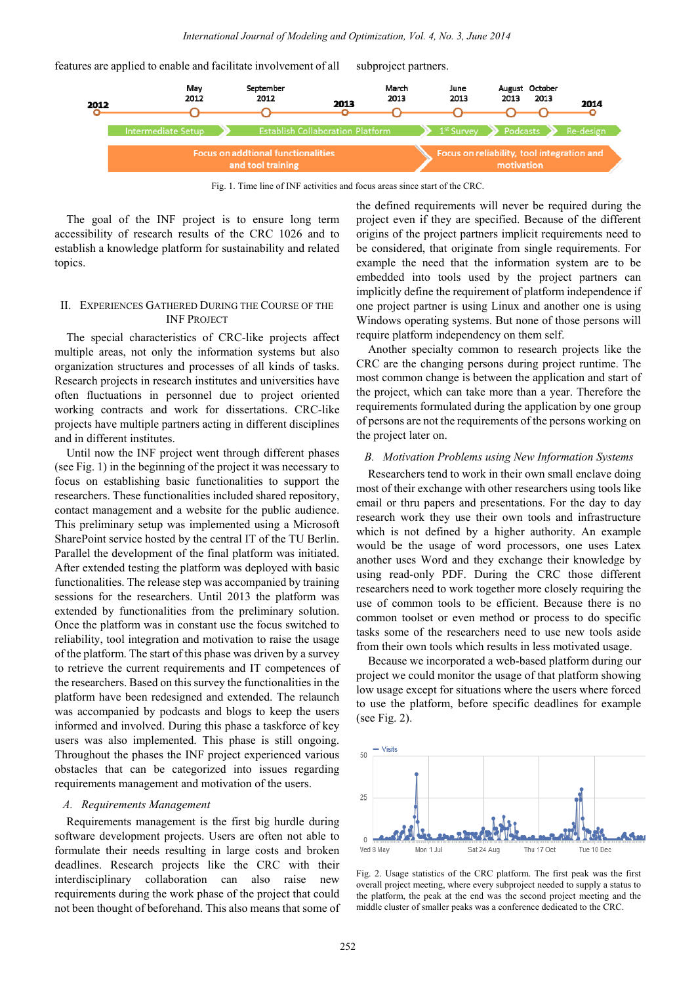

Fig. 1. Time line of INF activities and focus areas since start of the CRC.

The goal of the INF project is to ensure long term accessibility of research results of the CRC 1026 and to establish a knowledge platform for sustainability and related topics.

## II. EXPERIENCES GATHERED DURING THE COURSE OF THE **INF PROJECT**

The special characteristics of CRC-like projects affect multiple areas, not only the information systems but also organization structures and processes of all kinds of tasks. Research projects in research institutes and universities have often fluctuations in personnel due to project oriented working contracts and work for dissertations. CRC-like projects have multiple partners acting in different disciplines and in different institutes.

Until now the INF project went through different phases (see Fig. 1) in the beginning of the project it was necessary to focus on establishing basic functionalities to support the researchers. These functionalities included shared repository, contact management and a website for the public audience. This preliminary setup was implemented using a Microsoft SharePoint service hosted by the central IT of the TU Berlin. Parallel the development of the final platform was initiated. After extended testing the platform was deployed with basic functionalities. The release step was accompanied by training sessions for the researchers. Until 2013 the platform was extended by functionalities from the preliminary solution. Once the platform was in constant use the focus switched to reliability, tool integration and motivation to raise the usage of the platform. The start of this phase was driven by a survey to retrieve the current requirements and IT competences of the researchers. Based on this survey the functionalities in the platform have been redesigned and extended. The relaunch was accompanied by podcasts and blogs to keep the users informed and involved. During this phase a taskforce of key users was also implemented. This phase is still ongoing. Throughout the phases the INF project experienced various obstacles that can be categorized into issues regarding requirements management and motivation of the users.

#### *A. Requirements Management*

Requirements management is the first big hurdle during software development projects. Users are often not able to formulate their needs resulting in large costs and broken deadlines. Research projects like the CRC with their interdisciplinary collaboration can also raise new requirements during the work phase of the project that could not been thought of beforehand. This also means that some of

the defined requirements will never be required during the project even if they are specified. Because of the different origins of the project partners implicit requirements need to be considered, that originate from single requirements. For example the need that the information system are to be embedded into tools used by the project partners can implicitly define the requirement of platform independence if one project partner is using Linux and another one is using Windows operating systems. But none of those persons will require platform independency on them self.

Another specialty common to research projects like the CRC are the changing persons during project runtime. The most common change is between the application and start of the project, which can take more than a year. Therefore the requirements formulated during the application by one group of persons are not the requirements of the persons working on the project later on.

## *B. Motivation Problems using New Information Systems*

Researchers tend to work in their own small enclave doing most of their exchange with other researchers using tools like email or thru papers and presentations. For the day to day research work they use their own tools and infrastructure which is not defined by a higher authority. An example would be the usage of word processors, one uses Latex another uses Word and they exchange their knowledge by using read-only PDF. During the CRC those different researchers need to work together more closely requiring the use of common tools to be efficient. Because there is no common toolset or even method or process to do specific tasks some of the researchers need to use new tools aside from their own tools which results in less motivated usage.

Because we incorporated a web-based platform during our project we could monitor the usage of that platform showing low usage except for situations where the users where forced to use the platform, before specific deadlines for example (see Fig. 2).



Fig. 2. Usage statistics of the CRC platform. The first peak was the first overall project meeting, where every subproject needed to supply a status to the platform, the peak at the end was the second project meeting and the middle cluster of smaller peaks was a conference dedicated to the CRC.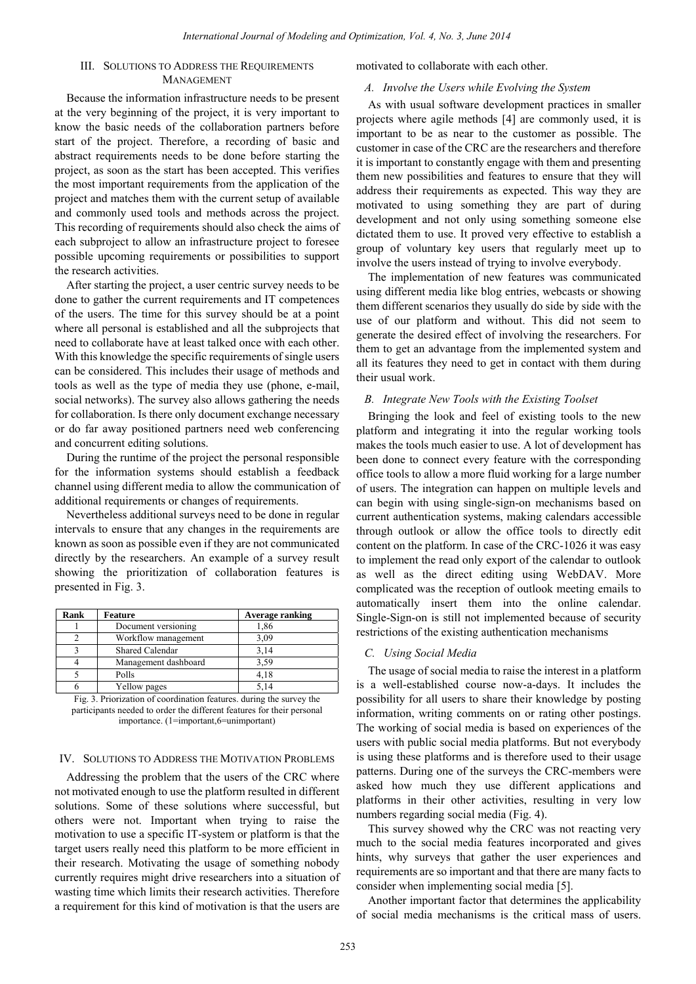## III. SOLUTIONS TO ADDRESS THE REQUIREMENTS MANAGEMENT

Because the information infrastructure needs to be present at the very beginning of the project, it is very important to know the basic needs of the collaboration partners before start of the project. Therefore, a recording of basic and abstract requirements needs to be done before starting the project, as soon as the start has been accepted. This verifies the most important requirements from the application of the project and matches them with the current setup of available and commonly used tools and methods across the project. This recording of requirements should also check the aims of each subproject to allow an infrastructure project to foresee possible upcoming requirements or possibilities to support the research activities.

After starting the project, a user centric survey needs to be done to gather the current requirements and IT competences of the users. The time for this survey should be at a point where all personal is established and all the subprojects that need to collaborate have at least talked once with each other. With this knowledge the specific requirements of single users can be considered. This includes their usage of methods and tools as well as the type of media they use (phone, e-mail, social networks). The survey also allows gathering the needs for collaboration. Is there only document exchange necessary or do far away positioned partners need web conferencing and concurrent editing solutions.

During the runtime of the project the personal responsible for the information systems should establish a feedback channel using different media to allow the communication of additional requirements or changes of requirements.

Nevertheless additional surveys need to be done in regular intervals to ensure that any changes in the requirements are known as soon as possible even if they are not communicated directly by the researchers. An example of a survey result showing the prioritization of collaboration features is presented in Fig. 3.

| Rank | <b>Feature</b>       | Average ranking |
|------|----------------------|-----------------|
|      | Document versioning  | 1,86            |
|      | Workflow management  | 3,09            |
|      | Shared Calendar      | 3,14            |
|      | Management dashboard | 3,59            |
|      | Polls                | 4.18            |
|      | Yellow pages         | 5.14            |

Fig. 3. Priorization of coordination features. during the survey the participants needed to order the different features for their personal importance. (1=important,6=unimportant)

## IV. SOLUTIONS TO ADDRESS THE MOTIVATION PROBLEMS

Addressing the problem that the users of the CRC where not motivated enough to use the platform resulted in different solutions. Some of these solutions where successful, but others were not. Important when trying to raise the motivation to use a specific IT-system or platform is that the target users really need this platform to be more efficient in their research. Motivating the usage of something nobody currently requires might drive researchers into a situation of wasting time which limits their research activities. Therefore a requirement for this kind of motivation is that the users are motivated to collaborate with each other.

## *A. Involve the Users while Evolving the System*

As with usual software development practices in smaller projects where agile methods [4] are commonly used, it is important to be as near to the customer as possible. The customer in case of the CRC are the researchers and therefore it is important to constantly engage with them and presenting them new possibilities and features to ensure that they will address their requirements as expected. This way they are motivated to using something they are part of during development and not only using something someone else dictated them to use. It proved very effective to establish a group of voluntary key users that regularly meet up to involve the users instead of trying to involve everybody.

The implementation of new features was communicated using different media like blog entries, webcasts or showing them different scenarios they usually do side by side with the use of our platform and without. This did not seem to generate the desired effect of involving the researchers. For them to get an advantage from the implemented system and all its features they need to get in contact with them during their usual work.

#### *B. Integrate New Tools with the Existing Toolset*

Bringing the look and feel of existing tools to the new platform and integrating it into the regular working tools makes the tools much easier to use. A lot of development has been done to connect every feature with the corresponding office tools to allow a more fluid working for a large number of users. The integration can happen on multiple levels and can begin with using single-sign-on mechanisms based on current authentication systems, making calendars accessible through outlook or allow the office tools to directly edit content on the platform. In case of the CRC-1026 it was easy to implement the read only export of the calendar to outlook as well as the direct editing using WebDAV. More complicated was the reception of outlook meeting emails to automatically insert them into the online calendar. Single-Sign-on is still not implemented because of security restrictions of the existing authentication mechanisms

#### *C. Using Social Media*

The usage of social media to raise the interest in a platform is a well-established course now-a-days. It includes the possibility for all users to share their knowledge by posting information, writing comments on or rating other postings. The working of social media is based on experiences of the users with public social media platforms. But not everybody is using these platforms and is therefore used to their usage patterns. During one of the surveys the CRC-members were asked how much they use different applications and platforms in their other activities, resulting in very low numbers regarding social media (Fig. 4).

This survey showed why the CRC was not reacting very much to the social media features incorporated and gives hints, why surveys that gather the user experiences and requirements are so important and that there are many facts to consider when implementing social media [5].

Another important factor that determines the applicability of social media mechanisms is the critical mass of users.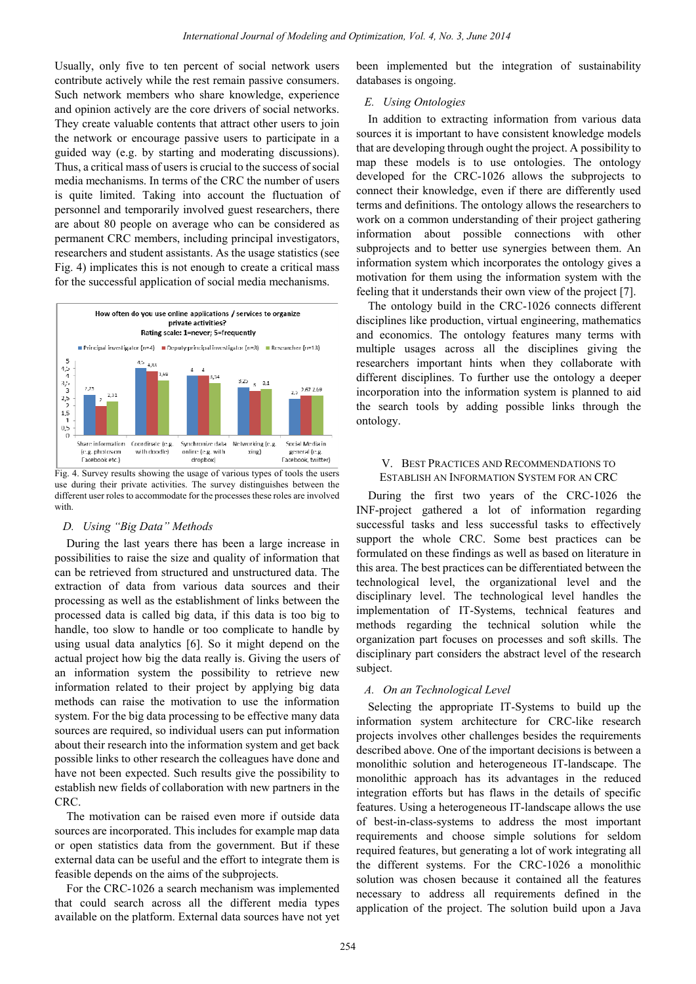Usually, only five to ten percent of social network users contribute actively while the rest remain passive consumers. Such network members who share knowledge, experience and opinion actively are the core drivers of social networks. They create valuable contents that attract other users to join the network or encourage passive users to participate in a guided way (e.g. by starting and moderating discussions). Thus, a critical mass of users is crucial to the success of social media mechanisms. In terms of the CRC the number of users is quite limited. Taking into account the fluctuation of personnel and temporarily involved guest researchers, there are about 80 people on average who can be considered as permanent CRC members, including principal investigators, researchers and student assistants. As the usage statistics (see Fig. 4) implicates this is not enough to create a critical mass for the successful application of social media mechanisms.



Fig. 4. Survey results showing the usage of various types of tools the users use during their private activities. The survey distinguishes between the different user roles to accommodate for the processes these roles are involved with.

## *D. Using "Big Data" Methods*

During the last years there has been a large increase in possibilities to raise the size and quality of information that can be retrieved from structured and unstructured data. The extraction of data from various data sources and their processing as well as the establishment of links between the processed data is called big data, if this data is too big to handle, too slow to handle or too complicate to handle by using usual data analytics [6]. So it might depend on the actual project how big the data really is. Giving the users of an information system the possibility to retrieve new information related to their project by applying big data methods can raise the motivation to use the information system. For the big data processing to be effective many data sources are required, so individual users can put information about their research into the information system and get back possible links to other research the colleagues have done and have not been expected. Such results give the possibility to establish new fields of collaboration with new partners in the CRC.

The motivation can be raised even more if outside data sources are incorporated. This includes for example map data or open statistics data from the government. But if these external data can be useful and the effort to integrate them is feasible depends on the aims of the subprojects.

For the CRC-1026 a search mechanism was implemented that could search across all the different media types available on the platform. External data sources have not yet

been implemented but the integration of sustainability databases is ongoing.

## *E. Using Ontologies*

In addition to extracting information from various data sources it is important to have consistent knowledge models that are developing through ought the project. A possibility to map these models is to use ontologies. The ontology developed for the CRC-1026 allows the subprojects to connect their knowledge, even if there are differently used terms and definitions. The ontology allows the researchers to work on a common understanding of their project gathering information about possible connections with other subprojects and to better use synergies between them. An information system which incorporates the ontology gives a motivation for them using the information system with the feeling that it understands their own view of the project [7].

The ontology build in the CRC-1026 connects different disciplines like production, virtual engineering, mathematics and economics. The ontology features many terms with multiple usages across all the disciplines giving the researchers important hints when they collaborate with different disciplines. To further use the ontology a deeper incorporation into the information system is planned to aid the search tools by adding possible links through the ontology.

#### V. BEST PRACTICES AND RECOMMENDATIONS TO ESTABLISH AN INFORMATION SYSTEM FOR AN CRC

During the first two years of the CRC-1026 the INF-project gathered a lot of information regarding successful tasks and less successful tasks to effectively support the whole CRC. Some best practices can be formulated on these findings as well as based on literature in this area. The best practices can be differentiated between the technological level, the organizational level and the disciplinary level. The technological level handles the implementation of IT-Systems, technical features and methods regarding the technical solution while the organization part focuses on processes and soft skills. The disciplinary part considers the abstract level of the research subject.

## *A. On an Technological Level*

Selecting the appropriate IT-Systems to build up the information system architecture for CRC-like research projects involves other challenges besides the requirements described above. One of the important decisions is between a monolithic solution and heterogeneous IT-landscape. The monolithic approach has its advantages in the reduced integration efforts but has flaws in the details of specific features. Using a heterogeneous IT-landscape allows the use of best-in-class-systems to address the most important requirements and choose simple solutions for seldom required features, but generating a lot of work integrating all the different systems. For the CRC-1026 a monolithic solution was chosen because it contained all the features necessary to address all requirements defined in the application of the project. The solution build upon a Java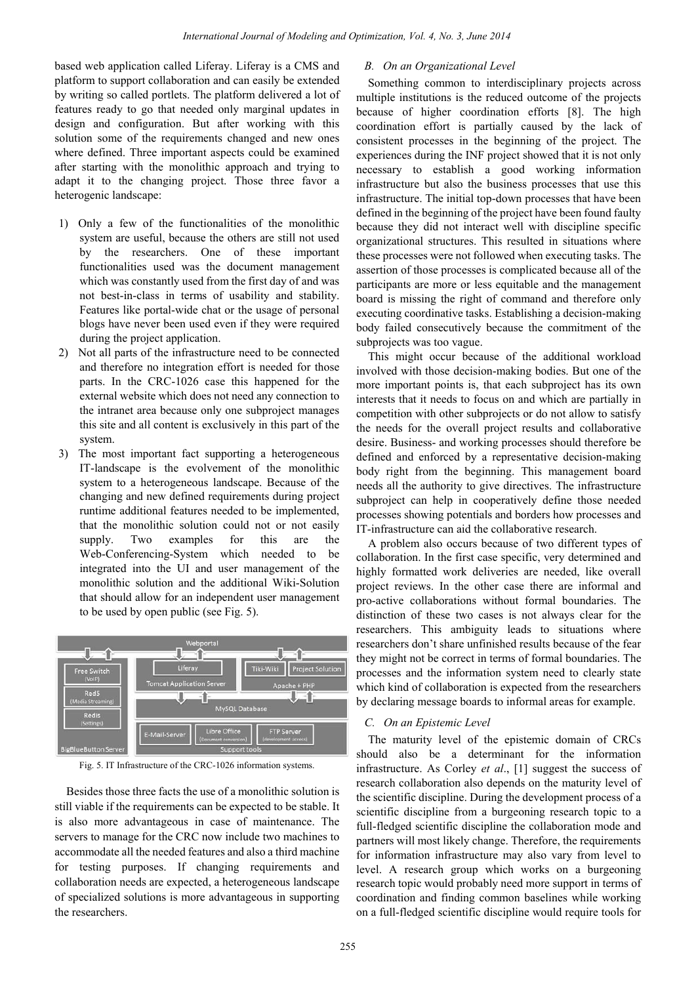based web application called Liferay. Liferay is a CMS and platform to support collaboration and can easily be extended by writing so called portlets. The platform delivered a lot of features ready to go that needed only marginal updates in design and configuration. But after working with this solution some of the requirements changed and new ones where defined. Three important aspects could be examined after starting with the monolithic approach and trying to adapt it to the changing project. Those three favor a heterogenic landscape:

- 1) Only a few of the functionalities of the monolithic system are useful, because the others are still not used by the researchers. One of these important functionalities used was the document management which was constantly used from the first day of and was not best-in-class in terms of usability and stability. Features like portal-wide chat or the usage of personal blogs have never been used even if they were required during the project application.
- 2) Not all parts of the infrastructure need to be connected and therefore no integration effort is needed for those parts. In the CRC-1026 case this happened for the external website which does not need any connection to the intranet area because only one subproject manages this site and all content is exclusively in this part of the system.
- 3) The most important fact supporting a heterogeneous IT-landscape is the evolvement of the monolithic system to a heterogeneous landscape. Because of the changing and new defined requirements during project runtime additional features needed to be implemented, that the monolithic solution could not or not easily supply. Two examples for this are the Web-Conferencing-System which needed to be integrated into the UI and user management of the monolithic solution and the additional Wiki-Solution that should allow for an independent user management to be used by open public (see Fig. 5).



Fig. 5. IT Infrastructure of the CRC-1026 information systems.

Besides those three facts the use of a monolithic solution is still viable if the requirements can be expected to be stable. It is also more advantageous in case of maintenance. The servers to manage for the CRC now include two machines to accommodate all the needed features and also a third machine for testing purposes. If changing requirements and collaboration needs are expected, a heterogeneous landscape of specialized solutions is more advantageous in supporting the researchers.

## *B. On an Organizational Level*

Something common to interdisciplinary projects across multiple institutions is the reduced outcome of the projects because of higher coordination efforts [8]. The high coordination effort is partially caused by the lack of consistent processes in the beginning of the project. The experiences during the INF project showed that it is not only necessary to establish a good working information infrastructure but also the business processes that use this infrastructure. The initial top-down processes that have been defined in the beginning of the project have been found faulty because they did not interact well with discipline specific organizational structures. This resulted in situations where these processes were not followed when executing tasks. The assertion of those processes is complicated because all of the participants are more or less equitable and the management board is missing the right of command and therefore only executing coordinative tasks. Establishing a decision-making body failed consecutively because the commitment of the subprojects was too vague.

This might occur because of the additional workload involved with those decision-making bodies. But one of the more important points is, that each subproject has its own interests that it needs to focus on and which are partially in competition with other subprojects or do not allow to satisfy the needs for the overall project results and collaborative desire. Business- and working processes should therefore be defined and enforced by a representative decision-making body right from the beginning. This management board needs all the authority to give directives. The infrastructure subproject can help in cooperatively define those needed processes showing potentials and borders how processes and IT-infrastructure can aid the collaborative research.

A problem also occurs because of two different types of collaboration. In the first case specific, very determined and highly formatted work deliveries are needed, like overall project reviews. In the other case there are informal and pro-active collaborations without formal boundaries. The distinction of these two cases is not always clear for the researchers. This ambiguity leads to situations where researchers don't share unfinished results because of the fear they might not be correct in terms of formal boundaries. The processes and the information system need to clearly state which kind of collaboration is expected from the researchers by declaring message boards to informal areas for example.

## *C. On an Epistemic Level*

The maturity level of the epistemic domain of CRCs should also be a determinant for the information infrastructure. As Corley *et al*., [1] suggest the success of research collaboration also depends on the maturity level of the scientific discipline. During the development process of a scientific discipline from a burgeoning research topic to a full-fledged scientific discipline the collaboration mode and partners will most likely change. Therefore, the requirements for information infrastructure may also vary from level to level. A research group which works on a burgeoning research topic would probably need more support in terms of coordination and finding common baselines while working on a full-fledged scientific discipline would require tools for